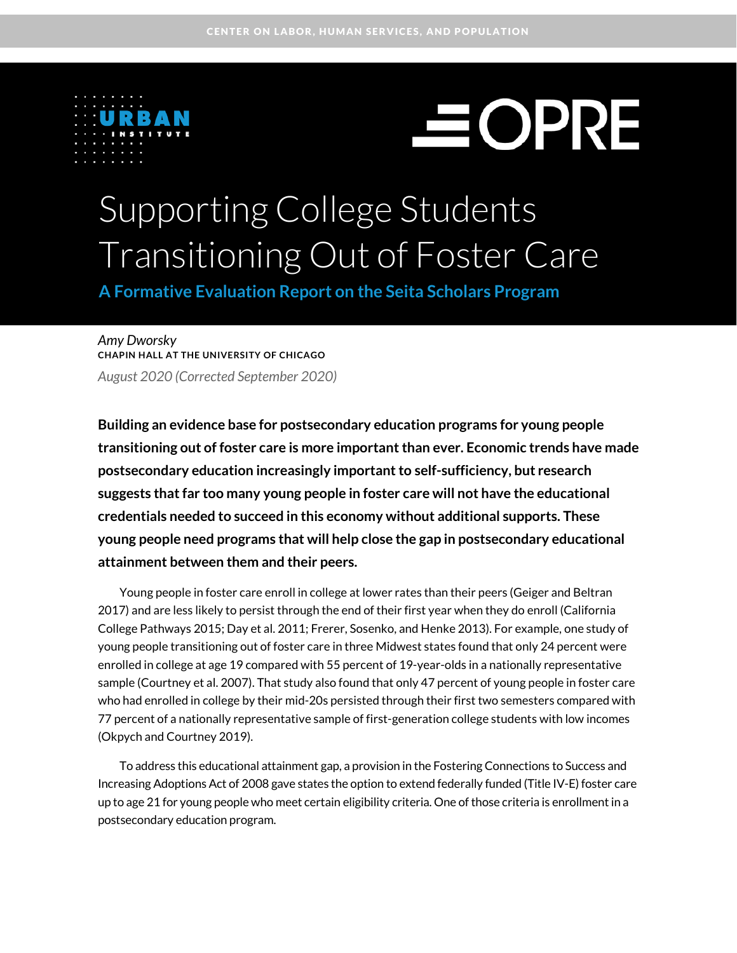

# $\equiv$  OPRE

## Supporting College Students Transitioning Out of Foster Care

**A Formative Evaluation Report on the Seita Scholars Program**

*Amy Dworsky* **CHAPIN HALL AT THE UNIVERSITY OF CHICAGO** *August 2020 (Corrected September 2020)*

**Building an evidence base for postsecondary education programs for young people transitioning out of foster care is more important than ever. Economic trends have made postsecondary education increasingly important to self-sufficiency, but research suggests that far too many young people in foster care will not have the educational credentials needed to succeed in this economy without additional supports. These young people need programs that will help close the gap in postsecondary educational attainment between them and their peers.** 

Young people in foster care enroll in college at lower rates than their peers (Geiger and Beltran 2017) and are less likely to persist through the end of their first year when they do enroll (California College Pathways 2015; Day et al. 2011; Frerer, Sosenko, and Henke 2013). For example, one study of young people transitioning out of foster care in three Midwest states found that only 24 percent were enrolled in college at age 19 compared with 55 percent of 19-year-olds in a nationally representative sample (Courtney et al. 2007). That study also found that only 47 percent of young people in foster care who had enrolled in college by their mid-20s persisted through their first two semesters compared with 77 percent of a nationally representative sample of first-generation college students with low incomes (Okpych and Courtney 2019).

To address this educational attainment gap, a provision in the Fostering Connections to Success and Increasing Adoptions Act of 2008 gave states the option to extend federally funded (Title IV-E) foster care up to age 21 for young people who meet certain eligibility criteria. One of those criteria is enrollmentin a postsecondary education program.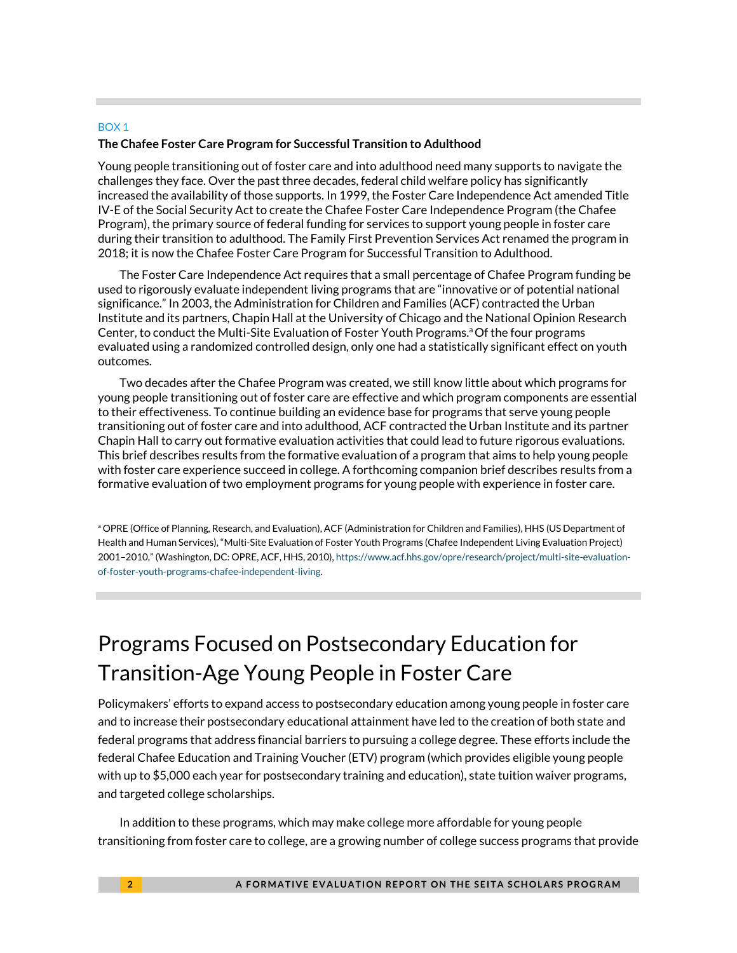#### BOX 1 **The Chafee Foster Care Program for Successful Transition to Adulthood**

Young people transitioning out of foster care and into adulthood need many supports to navigate the challenges they face. Over the past three decades, federal child welfare policy has significantly increased the availability of those supports. In 1999, the Foster Care Independence Act amended Title IV-E of the Social Security Act to create the Chafee Foster Care Independence Program (the Chafee Program), the primary source of federal funding for services to support young people in foster care during their transition to adulthood. The Family First Prevention Services Act renamed the program in 2018; it is now the Chafee Foster Care Program for Successful Transition to Adulthood.

The Foster Care Independence Act requires that a small percentage of Chafee Program funding be used to rigorously evaluate independent living programs that are "innovative or of potential national significance." In 2003, the Administration for Children and Families (ACF) contracted the Urban Institute and its partners, Chapin Hall at the University of Chicago and the National Opinion Research Center, to conduct the Multi-Site Evaluation of Foster Youth Programs. a Of the four programs evaluated using a randomized controlled design, only one had a statistically significant effect on youth outcomes.

Two decades after the Chafee Program was created, we still know little about which programs for young people transitioning out of foster care are effective and which program components are essential to their effectiveness. To continue building an evidence base for programs that serve young people transitioning out of foster care and into adulthood, ACF contracted the Urban Institute and its partner Chapin Hall to carry out formative evaluation activities that could lead to future rigorous evaluations. This brief describes results from the formative evaluation of a program that aims to help young people with foster care experience succeed in college. A forthcoming companion brief describes results from a formative evaluation of two employment programs for young people with experience in foster care.

a OPRE (Office of Planning, Research, and Evaluation), ACF (Administration for Children and Families), HHS (US Department of Health and Human Services), "Multi-Site Evaluation of Foster Youth Programs (Chafee Independent Living Evaluation Project) 2001–2010," (Washington, DC: OPRE, ACF, HHS, 2010)[, https://www.acf.hhs.gov/opre/research/project/multi-site-evaluation](https://www.acf.hhs.gov/opre/research/project/multi-site-evaluation-of-foster-youth-programs-chafee-independent-living)[of-foster-youth-programs-chafee-independent-living.](https://www.acf.hhs.gov/opre/research/project/multi-site-evaluation-of-foster-youth-programs-chafee-independent-living) 

## Programs Focused on Postsecondary Education for Transition-Age Young People in Foster Care

Policymakers' efforts to expand access to postsecondary education among young people in foster care and to increase their postsecondary educational attainment have led to the creation of both state and federal programs that address financial barriers to pursuing a college degree. These efforts include the federal Chafee Education and Training Voucher (ETV) program (which provides eligible young people with up to \$5,000 each year for postsecondary training and education), state tuition waiver programs, and targeted college scholarships.

In addition to these programs, which may make college more affordable for young people transitioning from foster care to college, are a growing number of college success programs that provide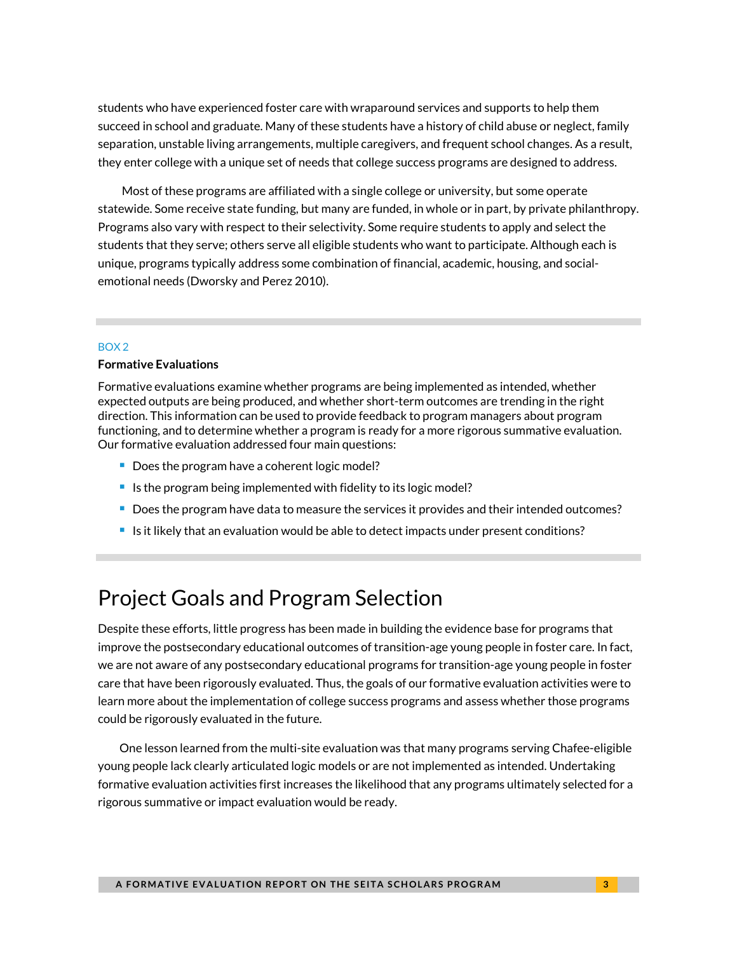students who have experienced foster care with wraparound services and supports to help them succeed in school and graduate. Many of these students have a history of child abuse or neglect, family separation, unstable living arrangements, multiple caregivers, and frequent school changes. As a result, they enter college with a unique set of needs that college success programs are designed to address.

Most of these programs are affiliated with a single college or university, but some operate statewide. Some receive state funding, but many are funded, in whole or in part, by private philanthropy. Programs also vary with respect to their selectivity. Some require students to apply and select the students that they serve; others serve all eligible students who want to participate. Although each is unique, programs typically address some combination of financial, academic, housing, and socialemotional needs (Dworsky and Perez 2010).

#### BOX 2

#### **Formative Evaluations**

Formative evaluations examine whether programs are being implemented as intended, whether expected outputs are being produced, and whether short-term outcomes are trending in the right direction. This information can be used to provide feedback to program managers about program functioning, and to determine whether a program is ready for a more rigorous summative evaluation. Our formative evaluation addressed four main questions:

- Does the program have a coherent logic model?
- Is the program being implemented with fidelity to its logic model?
- Does the program have data to measure the services it provides and their intended outcomes?
- If Is it likely that an evaluation would be able to detect impacts under present conditions?

## Project Goals and Program Selection

Despite these efforts, little progress has been made in building the evidence base for programs that improve the postsecondary educational outcomes of transition-age young people in foster care. In fact, we are not aware of any postsecondary educational programs for transition-age young people in foster care that have been rigorously evaluated. Thus, the goals of our formative evaluation activities were to learn more about the implementation of college success programs and assess whether those programs could be rigorously evaluated in the future.

One lesson learned from the multi-site evaluation was that many programs serving Chafee-eligible young people lack clearly articulated logic models or are not implemented as intended. Undertaking formative evaluation activities first increases the likelihood that any programs ultimately selected for a rigorous summative or impact evaluation would be ready.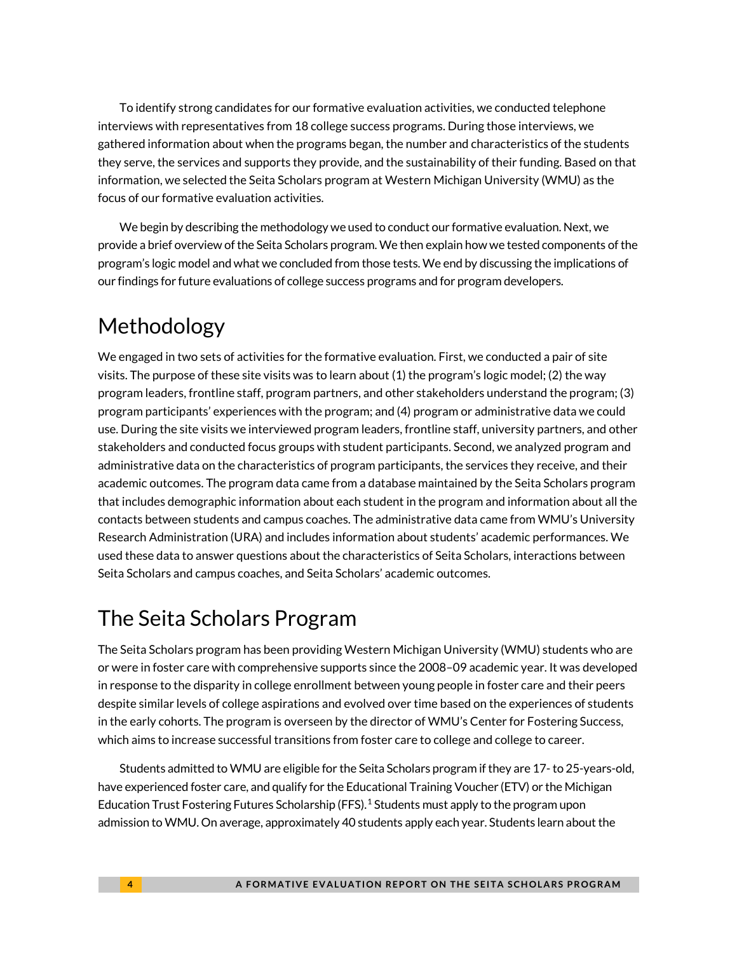To identify strong candidates for our formative evaluation activities, we conducted telephone interviews with representatives from 18 college success programs. During those interviews, we gathered information about when the programs began, the number and characteristics of the students they serve, the services and supports they provide, and the sustainability of their funding. Based on that information, we selected the Seita Scholars program at Western Michigan University (WMU) as the focus of our formative evaluation activities.

We begin by describing the methodology we used to conduct our formative evaluation. Next, we provide a brief overview of the Seita Scholars program. We then explain how we tested components of the program's logic model and what we concluded from those tests. We end by discussing the implications of our findings for future evaluations of college success programs and for program developers.

## Methodology

We engaged in two sets of activities for the formative evaluation. First, we conducted a pair of site visits. The purpose of these site visits was to learn about (1) the program's logic model; (2) the way program leaders, frontline staff, program partners, and other stakeholders understand the program; (3) program participants' experiences with the program; and (4) program or administrative data we could use. During the site visits we interviewed program leaders, frontline staff, university partners, and other stakeholders and conducted focus groups with student participants. Second, we analyzed program and administrative data on the characteristics of program participants, the services they receive, and their academic outcomes. The program data came from a database maintained by the Seita Scholars program that includes demographic information about each student in the program and information about all the contacts between students and campus coaches. The administrative data came from WMU's University Research Administration (URA) and includes information about students' academic performances. We used these data to answer questions about the characteristics of Seita Scholars, interactions between Seita Scholars and campus coaches, and Seita Scholars' academic outcomes.

## The Seita Scholars Program

The Seita Scholars program has been providing Western Michigan University (WMU) students who are or were in foster care with comprehensive supports since the 2008–09 academic year. It was developed in response to the disparity in college enrollment between young people in foster care and their peers despite similar levels of college aspirations and evolved over time based on the experiences of students in the early cohorts. The program is overseen by the director of WMU's Center for Fostering Success, which aims to increase successful transitions from foster care to college and college to career.

Students admitted to WMU are eligible for the Seita Scholars program if they are 17- to 25-years-old, have experienced foster care, and qualify for the Educational Training Voucher (ETV) or the Michigan Education Trust Fostering Futures Scholarship (FFS).<sup>[1](#page-13-0)</sup> Students must apply to the program upon admission to WMU. On average, approximately 40 students apply each year. Students learn about the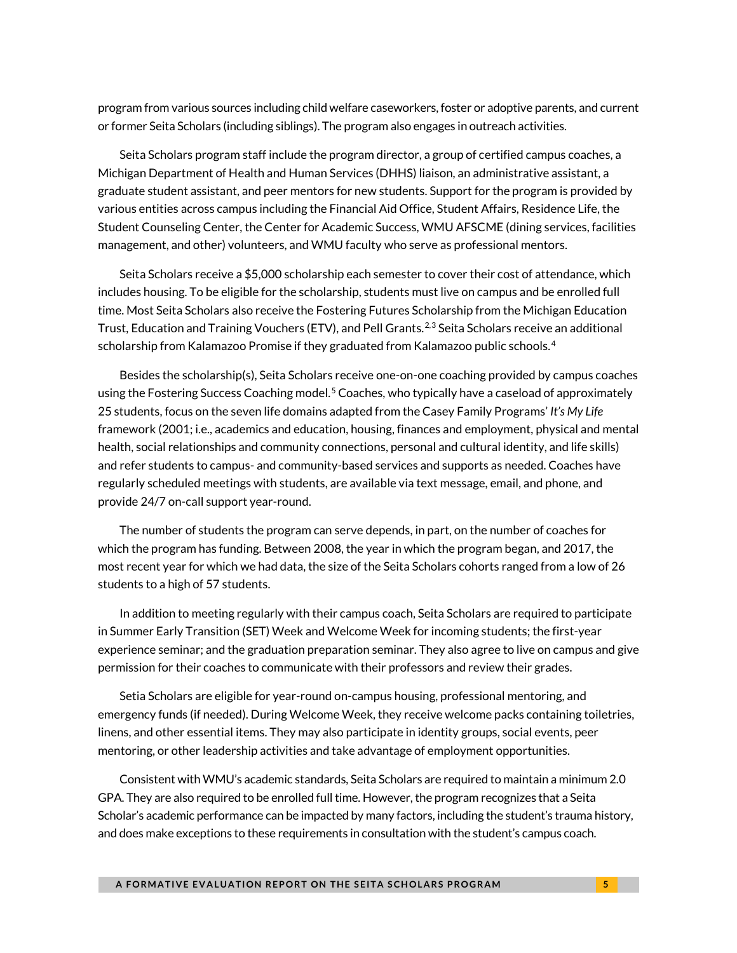program from various sources including child welfare caseworkers, foster or adoptive parents, and current or former Seita Scholars (including siblings). The program also engages in outreach activities.

Seita Scholars program staff include the program director, a group of certified campus coaches, a Michigan Department of Health and Human Services (DHHS) liaison, an administrative assistant, a graduate student assistant, and peer mentors for new students. Support for the program is provided by various entities across campus including the Financial Aid Office, Student Affairs, Residence Life, the Student Counseling Center, the Center for Academic Success, WMU AFSCME (dining services, facilities management, and other) volunteers, and WMU faculty who serve as professional mentors.

Seita Scholars receive a \$5,000 scholarship each semester to cover their cost of attendance, which includes housing. To be eligible for the scholarship, students must live on campus and be enrolled full time. Most Seita Scholars also receive the Fostering Futures Scholarship from the Michigan Education Trust, Education and Training Vouchers (ETV), and Pell Grants.<sup>[2,](#page-13-1)[3](#page-13-2)</sup> Seita Scholars receive an additional scholarship from Kalamazoo Promise if they graduated from Kalamazoo public schools. [4](#page-13-3) 

Besides the scholarship(s), Seita Scholars receive one-on-one coaching provided by campus coaches using the Fostering Success Coaching model.<sup>[5](#page-13-4)</sup> Coaches, who typically have a caseload of approximately 25 students, focus on the seven life domains adapted from the Casey Family Programs' *It's My Life*  framework (2001; i.e., academics and education, housing, finances and employment, physical and mental health, social relationships and community connections, personal and cultural identity, and life skills) and refer students to campus- and community-based services and supports as needed. Coaches have regularly scheduled meetings with students, are available via text message, email, and phone, and provide 24/7 on-call support year-round.

The number of students the program can serve depends, in part, on the number of coaches for which the program has funding. Between 2008, the year in which the program began, and 2017, the most recent year for which we had data, the size of the Seita Scholars cohorts ranged from a low of 26 students to a high of 57 students.

In addition to meeting regularly with their campus coach, Seita Scholars are required to participate in Summer Early Transition (SET) Week and Welcome Week for incoming students; the first-year experience seminar; and the graduation preparation seminar. They also agree to live on campus and give permission for their coaches to communicate with their professors and review their grades.

Setia Scholars are eligible for year-round on-campus housing, professional mentoring, and emergency funds (if needed). During Welcome Week, they receive welcome packs containing toiletries, linens, and other essential items. They may also participate in identity groups, social events, peer mentoring, or other leadership activities and take advantage of employment opportunities.

Consistent with WMU's academic standards, Seita Scholars are required to maintain a minimum 2.0 GPA. They are also required to be enrolled full time. However, the program recognizes that a Seita Scholar's academic performance can be impacted by many factors, including the student's trauma history, and does make exceptions to these requirements in consultation with the student's campus coach.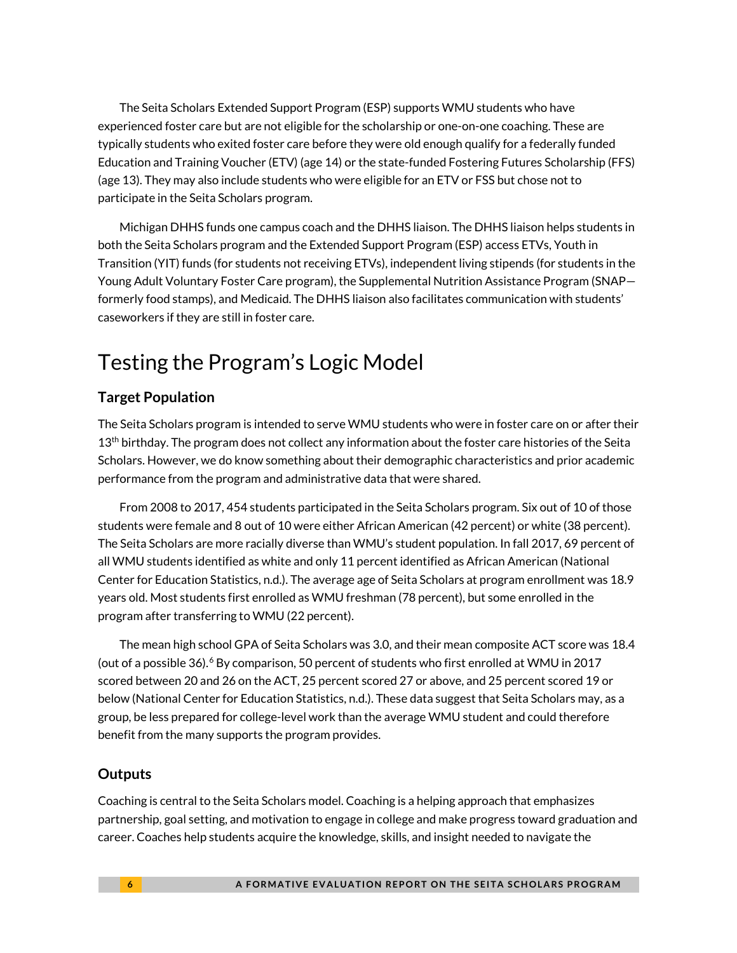The Seita Scholars Extended Support Program (ESP) supports WMU students who have experienced foster care but are not eligible for the scholarship or one-on-one coaching. These are typically students who exited foster care before they were old enough qualify for a federally funded Education and Training Voucher (ETV) (age 14) or the state-funded Fostering Futures Scholarship (FFS) (age 13). They may also include students who were eligible for an ETV or FSS but chose not to participate in the Seita Scholars program.

Michigan DHHS funds one campus coach and the DHHS liaison. The DHHS liaison helps students in both the Seita Scholars program and the Extended Support Program (ESP) access ETVs, Youth in Transition (YIT) funds (for students not receiving ETVs), independent living stipends (for students in the Young Adult Voluntary Foster Care program), the Supplemental Nutrition Assistance Program (SNAP formerly food stamps), and Medicaid. The DHHS liaison also facilitates communication with students' caseworkers if they are still in foster care.

## Testing the Program's Logic Model

#### **Target Population**

The Seita Scholars program is intended to serve WMU students who were in foster care on or after their 13<sup>th</sup> birthday. The program does not collect any information about the foster care histories of the Seita Scholars. However, we do know something about their demographic characteristics and prior academic performance from the program and administrative data that were shared.

From 2008 to 2017, 454 students participated in the Seita Scholars program. Six out of 10 of those students were female and 8 out of 10 were either African American (42 percent) or white (38 percent). The Seita Scholars are more racially diverse than WMU's student population. In fall 2017, 69 percent of all WMU students identified as white and only 11 percent identified as African American (National Center for Education Statistics, n.d.). The average age of Seita Scholars at program enrollment was 18.9 years old. Most students first enrolled as WMU freshman (78 percent), but some enrolled in the program after transferring to WMU (22 percent).

The mean high school GPA of Seita Scholars was 3.0, and their mean composite ACT score was 18.4 (out of a possible  $36$  $36$ ).<sup>6</sup> By comparison, 50 percent of students who first enrolled at WMU in 2017 scored between 20 and 26 on the ACT, 25 percent scored 27 or above, and 25 percent scored 19 or below (National Center for Education Statistics, n.d.). These data suggest that Seita Scholars may, as a group, be less prepared for college-level work than the average WMU student and could therefore benefit from the many supports the program provides.

#### **Outputs**

Coaching is central to the Seita Scholars model. Coaching is a helping approach that emphasizes partnership, goal setting, and motivation to engage in college and make progress toward graduation and career. Coaches help students acquire the knowledge, skills, and insight needed to navigate the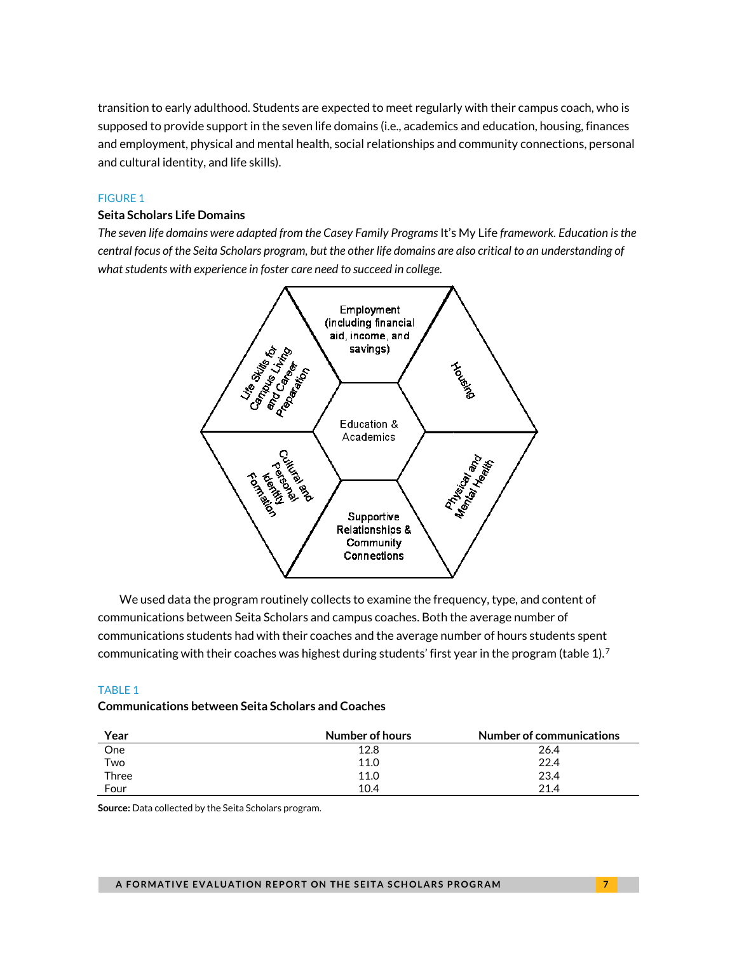transition to early adulthood. Students are expected to meet regularly with their campus coach, who is supposed to provide support in the seven life domains (i.e., academics and education, housing, finances and employment, physical and mental health, social relationships and community connections, personal and cultural identity, and life skills).

#### FIGURE 1

#### **Seita Scholars Life Domains**

*The seven life domains were adapted from the Casey Family Programs* It's My Life *framework. Education is the central focus of the Seita Scholars program, but the other life domains are also critical to an understanding of what students with experience in foster care need to succeed in college.* 



We used data the program routinely collects to examine the frequency, type, and content of communications between Seita Scholars and campus coaches. Both the average number of communications students had with their coaches and the average number of hours students spent communicating with their coaches was highest during students' first year in the program (table  $1$ ).<sup>[7](#page-13-6)</sup>

#### TABLE 1

#### **Communications between Seita Scholars and Coaches**

| Year  | Number of hours | Number of communications |
|-------|-----------------|--------------------------|
| One   | 12.8            | 26.4                     |
| Two   | 11.0            | 22.4                     |
| Three | 11.0            | 23.4                     |
| Four  | 10.4            | 21.4                     |

**Source:** Data collected by the Seita Scholars program.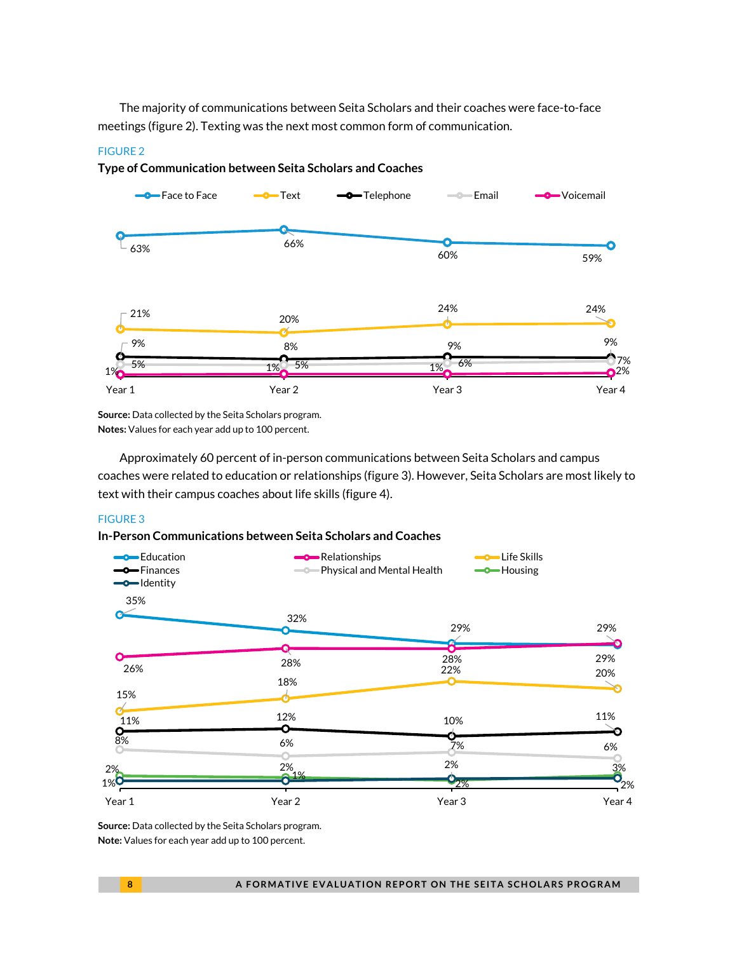The majority of communications between Seita Scholars and their coaches were face-to-face meetings (figure 2). Texting was the next most common form of communication.

#### FIGURE 2

#### **Type of Communication between Seita Scholars and Coaches**



**Source:** Data collected by the Seita Scholars program. **Notes:** Values for each year add up to 100 percent.

Approximately 60 percent of in-person communications between Seita Scholars and campus coaches were related to education or relationships (figure 3). However, Seita Scholars are most likely to text with their campus coaches about life skills (figure 4).

#### FIGURE 3

#### **In-Person Communications between Seita Scholars and Coaches**



**Source:** Data collected by the Seita Scholars program. **Note:** Values for each year add up to 100 percent.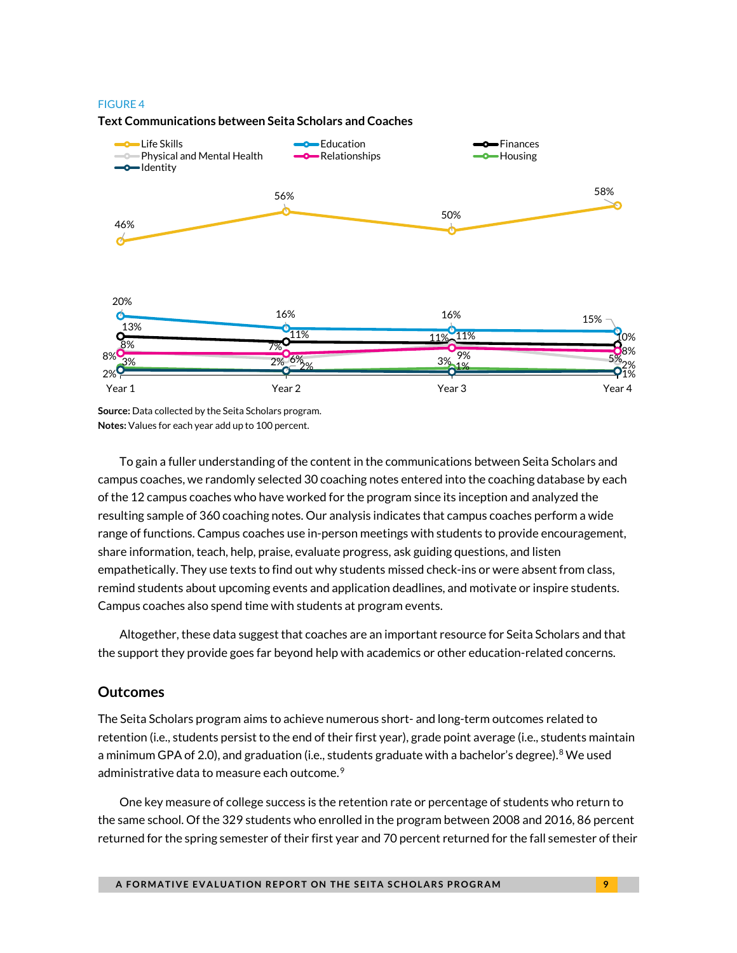#### FIGURE 4



#### **Text Communications between Seita Scholars and Coaches**

**Source:** Data collected by the Seita Scholars program. **Notes:** Values for each year add up to 100 percent.

To gain a fuller understanding of the content in the communications between Seita Scholars and campus coaches, we randomly selected 30 coaching notes entered into the coaching database by each of the 12 campus coaches who have worked for the program since its inception and analyzed the resulting sample of 360 coaching notes. Our analysis indicates that campus coaches perform a wide range of functions. Campus coaches use in-person meetings with students to provide encouragement, share information, teach, help, praise, evaluate progress, ask guiding questions, and listen empathetically. They use texts to find out why students missed check-ins or were absent from class, remind students about upcoming events and application deadlines, and motivate or inspire students. Campus coaches also spend time with students at program events.

Altogether, these data suggest that coaches are an important resource for Seita Scholars and that the support they provide goes far beyond help with academics or other education-related concerns.

#### **Outcomes**

The Seita Scholars program aims to achieve numerous short- and long-term outcomes related to retention (i.e., students persist to the end of their first year), grade point average (i.e., students maintain a minimum GPA of 2.0), and graduation (i.e., students graduate with a bachelor's degree).<sup>[8](#page-13-7)</sup> We used administrative data to measure each outcome. $^9$  $^9$ 

One key measure of college success is the retention rate or percentage of students who return to the same school. Of the 329 students who enrolled in the program between 2008 and 2016, 86 percent returned for the spring semester of their first year and 70 percent returned for the fall semester of their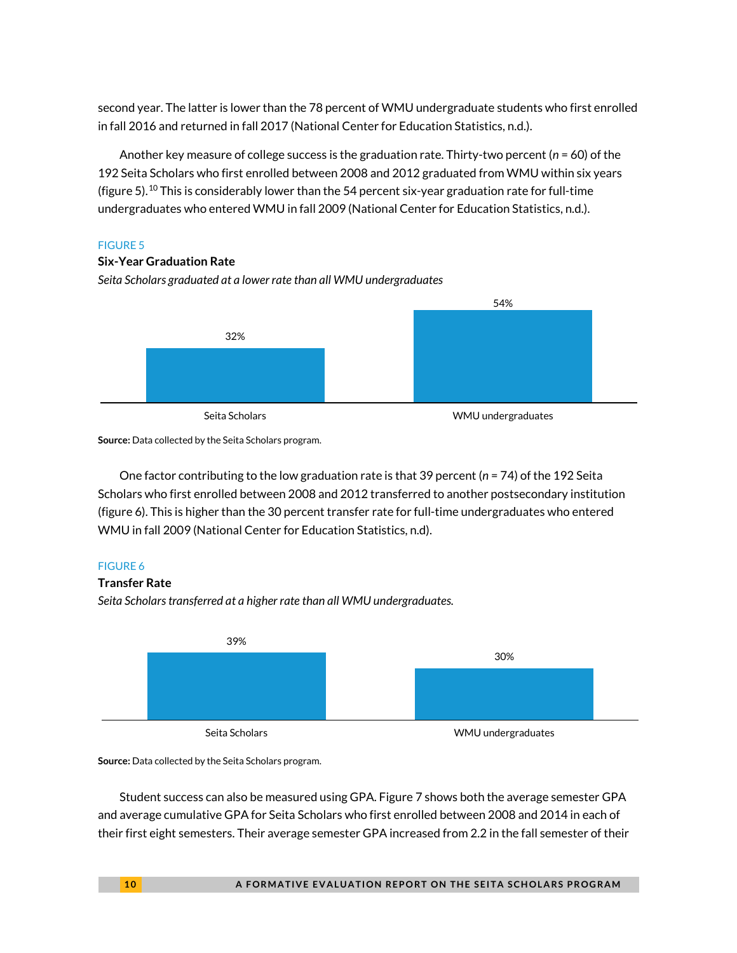second year. The latter is lower than the 78 percent of WMU undergraduate students who first enrolled in fall 2016 and returned in fall 2017 (National Center for Education Statistics, n.d.).

Another key measure of college success is the graduation rate. Thirty-two percent (*n* = 60) of the 192 Seita Scholars who first enrolled between 2008 and 2012 graduated from WMU within six years (figure 5).<sup>[10](#page-13-9)</sup> This is considerably lower than the 54 percent six-year graduation rate for full-time undergraduates who entered WMU in fall 2009 (National Center for Education Statistics, n.d.).

#### FIGURE 5

#### **Six-Year Graduation Rate**

*Seita Scholars graduated at a lower rate than all WMU undergraduates*



**Source:** Data collected by the Seita Scholars program.

One factor contributing to the low graduation rate is that 39 percent (*n* = 74) of the 192 Seita Scholars who first enrolled between 2008 and 2012 transferred to another postsecondary institution (figure 6). This is higher than the 30 percent transfer rate for full-time undergraduates who entered WMU in fall 2009 (National Center for Education Statistics, n.d).

#### FIGURE 6

#### **Transfer Rate**

*Seita Scholars transferred at a higher rate than all WMU undergraduates.*



**Source:** Data collected by the Seita Scholars program.

Student success can also be measured using GPA. Figure 7 shows both the average semester GPA and average cumulative GPA for Seita Scholars who first enrolled between 2008 and 2014 in each of their first eight semesters. Their average semester GPA increased from 2.2 in the fall semester of their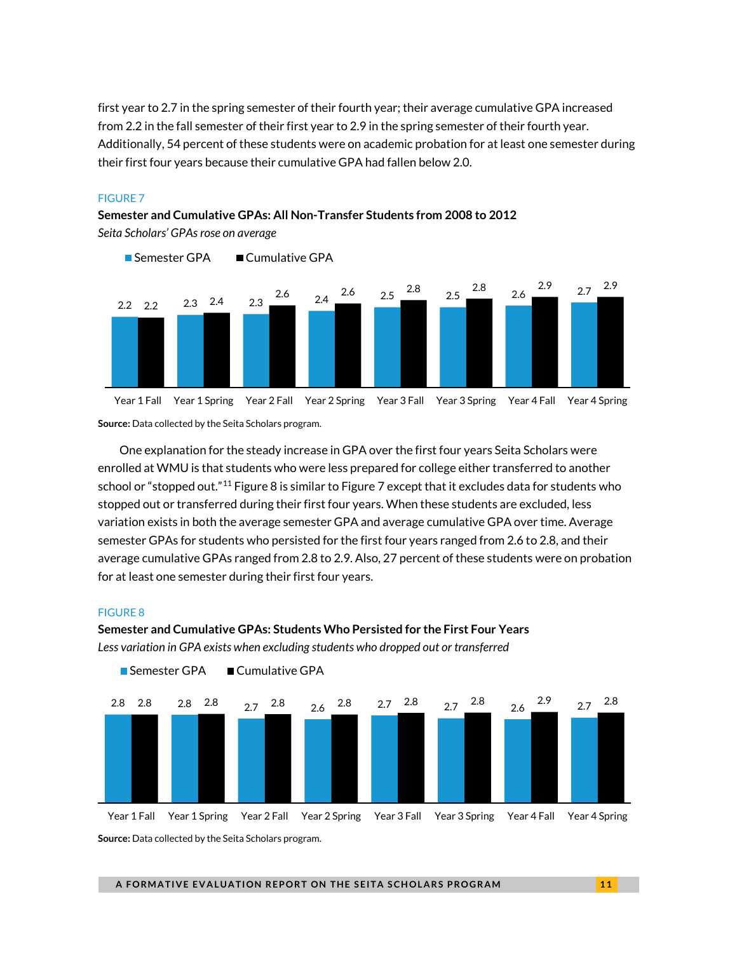first year to 2.7 in the spring semester of their fourth year; their average cumulative GPA increased from 2.2 in the fall semester of their first year to 2.9 in the spring semester of their fourth year. Additionally, 54 percent of these students were on academic probation for at least one semester during their first four years because their cumulative GPA had fallen below 2.0.

#### FIGURE 7

**Semester and Cumulative GPAs: All Non-Transfer Students from 2008 to 2012** *Seita Scholars' GPAs rose on average*



**Source:** Data collected by the Seita Scholars program.

One explanation for the steady increase in GPA over the first four years Seita Scholars were enrolled at WMU is that students who were less prepared for college either transferred to another school or "stopped out."<sup>[11](#page-13-10)</sup> Figure 8 is similar to Figure 7 except that it excludes data for students who stopped out or transferred during their first four years. When these students are excluded, less variation exists in both the average semester GPA and average cumulative GPA over time. Average semester GPAs for students who persisted for the first four years ranged from 2.6 to 2.8, and their average cumulative GPAs ranged from 2.8 to 2.9. Also, 27 percent of these students were on probation for at least one semester during their first four years.

#### FIGURE 8

**Semester and Cumulative GPAs: Students Who Persisted for the First Four Years** *Less variation in GPA exists when excluding students who dropped out or transferred*



**Source:** Data collected by the Seita Scholars program.

■ Semester GPA ■ Cumulative GPA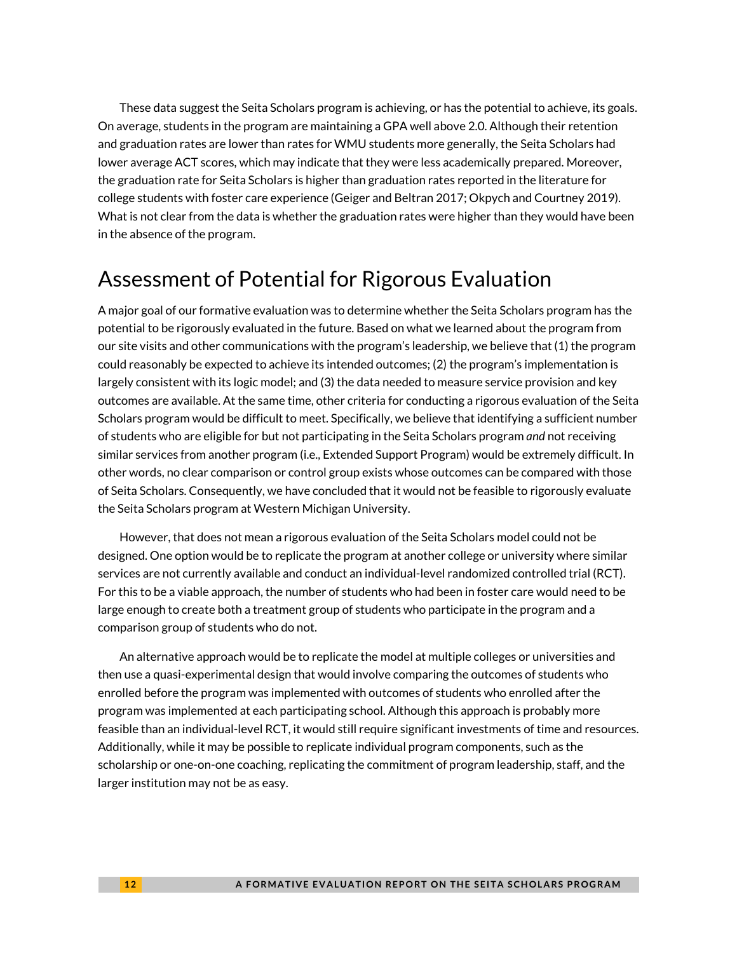These data suggest the Seita Scholars program is achieving, or has the potential to achieve, its goals. On average, students in the program are maintaining a GPA well above 2.0. Although their retention and graduation rates are lower than rates for WMU students more generally, the Seita Scholars had lower average ACT scores, which may indicate that they were less academically prepared. Moreover, the graduation rate for Seita Scholars is higher than graduation rates reported in the literature for college students with foster care experience (Geiger and Beltran 2017; Okpych and Courtney 2019). What is not clear from the data is whether the graduation rates were higher than they would have been in the absence of the program.

## Assessment of Potential for Rigorous Evaluation

A major goal of our formative evaluation was to determine whether the Seita Scholars program has the potential to be rigorously evaluated in the future. Based on what we learned about the program from our site visits and other communications with the program's leadership, we believe that (1) the program could reasonably be expected to achieve its intended outcomes; (2) the program's implementation is largely consistent with its logic model; and (3) the data needed to measure service provision and key outcomes are available. At the same time, other criteria for conducting a rigorous evaluation of the Seita Scholars program would be difficult to meet. Specifically, we believe that identifying a sufficient number of students who are eligible for but not participating in the Seita Scholars program *and* not receiving similar services from another program (i.e., Extended Support Program) would be extremely difficult. In other words, no clear comparison or control group exists whose outcomes can be compared with those of Seita Scholars. Consequently, we have concluded that it would not be feasible to rigorously evaluate the Seita Scholars program at Western Michigan University.

However, that does not mean a rigorous evaluation of the Seita Scholars model could not be designed. One option would be to replicate the program at another college or university where similar services are not currently available and conduct an individual-level randomized controlled trial (RCT). For this to be a viable approach, the number of students who had been in foster care would need to be large enough to create both a treatment group of students who participate in the program and a comparison group of students who do not.

An alternative approach would be to replicate the model at multiple colleges or universities and then use a quasi-experimental design that would involve comparing the outcomes of students who enrolled before the program was implemented with outcomes of students who enrolled after the program was implemented at each participating school. Although this approach is probably more feasible than an individual-level RCT, it would still require significant investments of time and resources. Additionally, while it may be possible to replicate individual program components, such as the scholarship or one-on-one coaching, replicating the commitment of program leadership, staff, and the larger institution may not be as easy.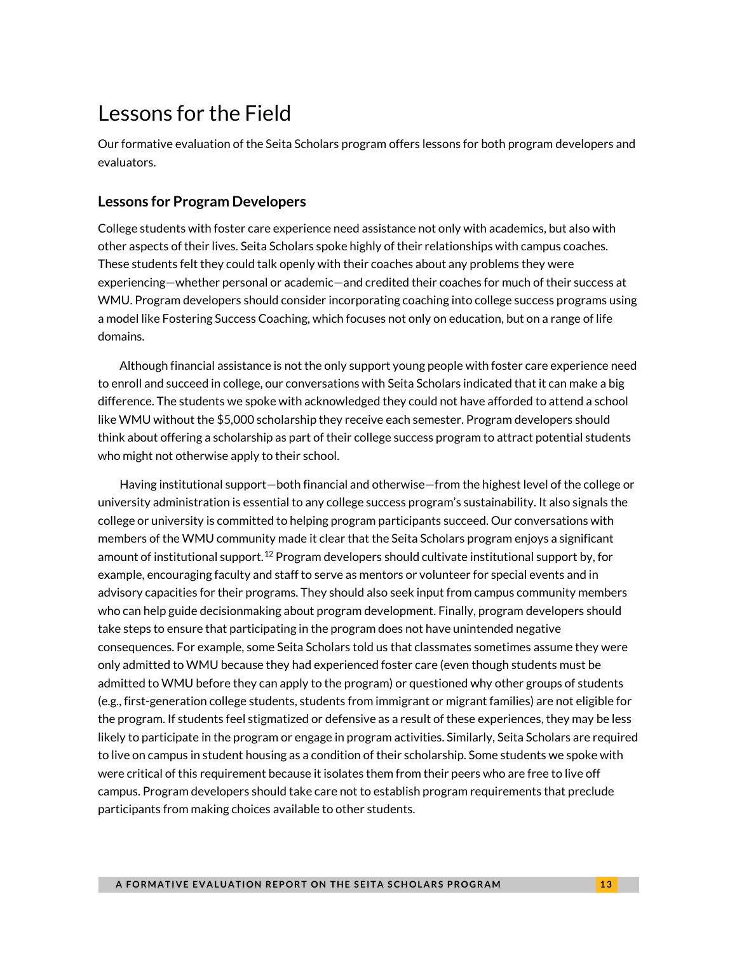## Lessons for the Field

Our formative evaluation of the Seita Scholars program offers lessons for both program developers and evaluators.

#### **Lessons for Program Developers**

College students with foster care experience need assistance not only with academics, but also with other aspects of their lives. Seita Scholars spoke highly of their relationships with campus coaches. These students felt they could talk openly with their coaches about any problems they were experiencing—whether personal or academic—and credited their coaches for much of their success at WMU. Program developers should consider incorporating coaching into college success programs using a model like Fostering Success Coaching, which focuses not only on education, but on a range of life domains.

Although financial assistance is not the only support young people with foster care experience need to enroll and succeed in college, our conversations with Seita Scholars indicated that it can make a big difference. The students we spoke with acknowledged they could not have afforded to attend a school like WMU without the \$5,000 scholarship they receive each semester. Program developers should think about offering a scholarship as part of their college success program to attract potential students who might not otherwise apply to their school.

Having institutional support—both financial and otherwise—from the highest level of the college or university administration is essential to any college success program's sustainability. It also signals the college or university is committed to helping program participants succeed. Our conversations with members of the WMU community made it clear that the Seita Scholars program enjoys a significant amount of institutional support.<sup>[12](#page-13-11)</sup> Program developers should cultivate institutional support by, for example, encouraging faculty and staff to serve as mentors or volunteer for special events and in advisory capacities for their programs. They should also seek input from campus community members who can help guide decisionmaking about program development. Finally, program developers should take steps to ensure that participating in the program does not have unintended negative consequences. For example, some Seita Scholars told us that classmates sometimes assume they were only admitted to WMU because they had experienced foster care (even though students must be admitted to WMU before they can apply to the program) or questioned why other groups of students (e.g., first-generation college students, students from immigrant or migrant families) are not eligible for the program. If students feel stigmatized or defensive as a result of these experiences, they may be less likely to participate in the program or engage in program activities. Similarly, Seita Scholars are required to live on campus in student housing as a condition of their scholarship. Some students we spoke with were critical of this requirement because it isolates them from their peers who are free to live off campus. Program developers should take care not to establish program requirements that preclude participants from making choices available to other students.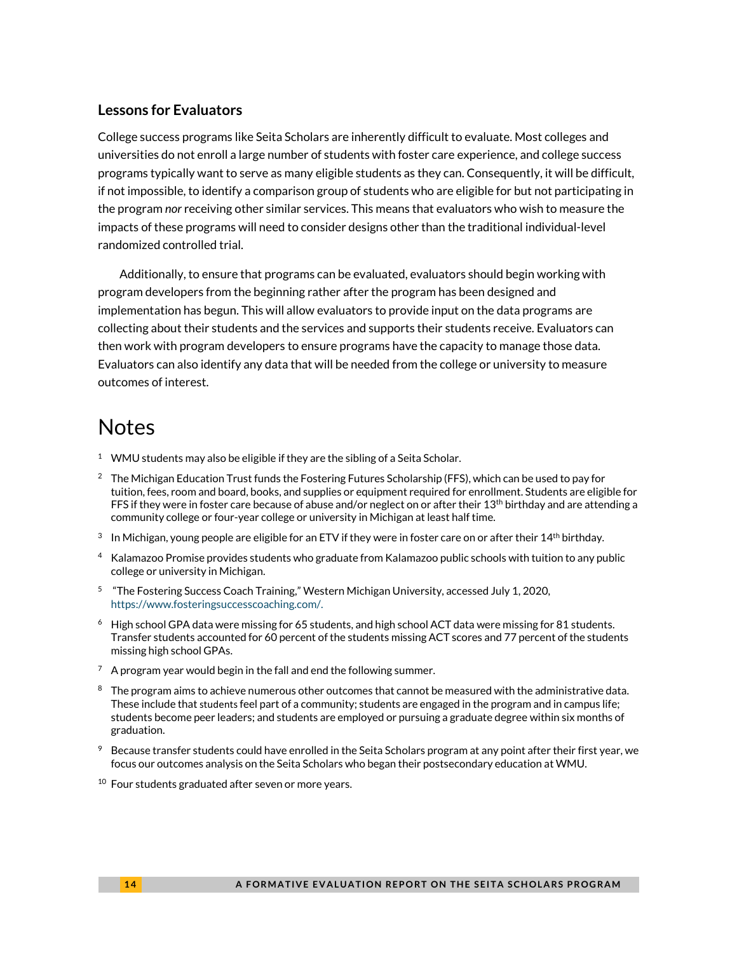#### <span id="page-13-10"></span>**Lessons for Evaluators**

<span id="page-13-11"></span>College success programs like Seita Scholars are inherently difficult to evaluate. Most colleges and universities do not enroll a large number of students with foster care experience, and college success programs typically want to serve as many eligible students as they can. Consequently, it will be difficult, if not impossible, to identify a comparison group of students who are eligible for but not participating in the program *nor* receiving other similar services. This means that evaluators who wish to measure the impacts of these programs will need to consider designs other than the traditional individual-level randomized controlled trial.

Additionally, to ensure that programs can be evaluated, evaluators should begin working with program developers from the beginning rather after the program has been designed and implementation has begun. This will allow evaluators to provide input on the data programs are collecting about their students and the services and supports their students receive. Evaluators can then work with program developers to ensure programs have the capacity to manage those data. Evaluators can also identify any data that will be needed from the college or university to measure outcomes of interest.

## **Notes**

- <span id="page-13-0"></span><sup>1</sup> WMU students may also be eligible if they are the sibling of a Seita Scholar.
- <span id="page-13-1"></span><sup>2</sup> The Michigan Education Trust funds the Fostering Futures Scholarship (FFS), which can be used to pay for tuition, fees, room and board, books, and supplies or equipment required for enrollment. Students are eligible for FFS if they were in foster care because of abuse and/or neglect on or after their 13<sup>th</sup> birthday and are attending a community college or four-year college or university in Michigan at least half time.
- <span id="page-13-2"></span> $3$  In Michigan, young people are eligible for an ETV if they were in foster care on or after their 14<sup>th</sup> birthday.
- <span id="page-13-3"></span>4 Kalamazoo Promise provides students who graduate from Kalamazoo public schools with tuition to any public college or university in Michigan.
- <span id="page-13-4"></span> $5$  "The Fostering Success Coach Training," Western Michigan University, accessed July 1, 2020, https://www.fosteringsuccesscoaching.com/.
- <span id="page-13-5"></span> $6$  High school GPA data were missing for 65 students, and high school ACT data were missing for 81 students. Transfer students accounted for 60 percent of the students missing ACT scores and 77 percent of the students missing high school GPAs.
- <span id="page-13-6"></span> $7$  A program year would begin in the fall and end the following summer.
- <span id="page-13-7"></span> $8$  The program aims to achieve numerous other outcomes that cannot be measured with the administrative data. These include that studentsfeel part of a community; students are engaged in the program and in campus life; students become peer leaders; and students are employed or pursuing a graduate degree within six months of graduation.
- <span id="page-13-8"></span> $9$  Because transfer students could have enrolled in the Seita Scholars program at any point after their first year, we focus our outcomes analysis on the Seita Scholars who began their postsecondary education at WMU.
- <span id="page-13-9"></span> $10$  Four students graduated after seven or more years.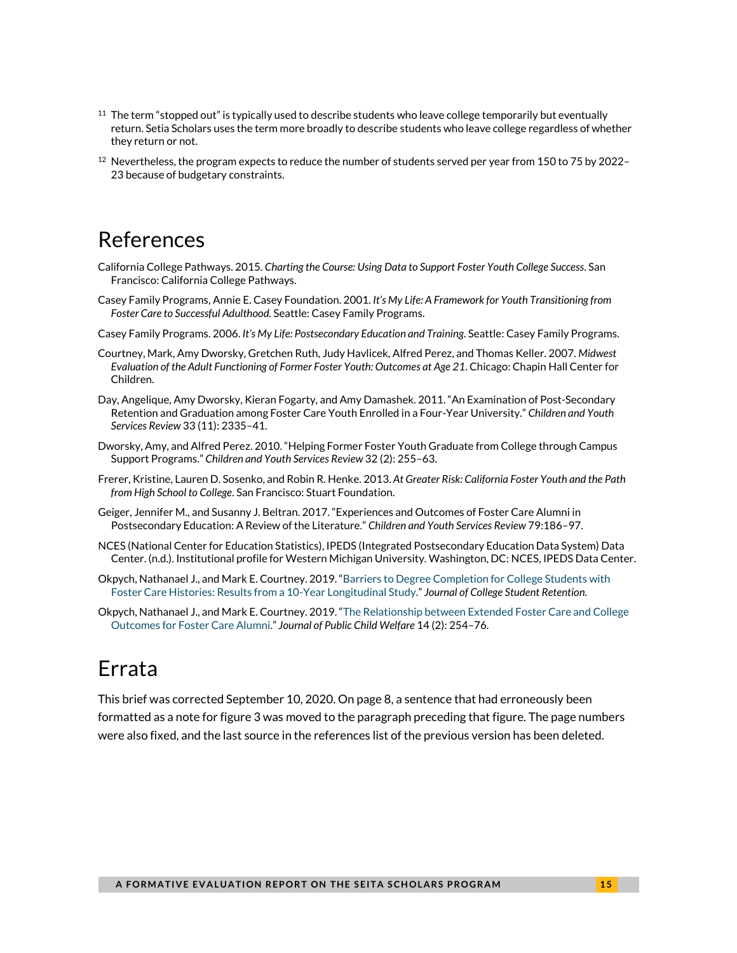- $11$  The term "stopped out" is typically used to describe students who leave college temporarily but eventually return. Setia Scholars uses the term more broadly to describe students who leave college regardless of whether they return or not.
- $12$  Nevertheless, the program expects to reduce the number of students served per year from 150 to 75 by 2022– 23 because of budgetary constraints.

### References

- California College Pathways. 2015. *Charting the Course: Using Data to Support Foster Youth College Success*. San Francisco: California College Pathways.
- Casey Family Programs, Annie E. Casey Foundation. 2001. *It's My Life: A Framework for Youth Transitioning from Foster Care to Successful Adulthood.* Seattle: Casey Family Programs.
- Casey Family Programs. 2006. *It's My Life: Postsecondary Education and Training*. Seattle: Casey Family Programs.
- Courtney, Mark, Amy Dworsky, Gretchen Ruth, Judy Havlicek, Alfred Perez, and Thomas Keller. 2007. *Midwest Evaluation of the Adult Functioning of Former Foster Youth: Outcomes at Age 21*. Chicago: Chapin Hall Center for Children.
- Day, Angelique, Amy Dworsky, Kieran Fogarty, and Amy Damashek. 2011. "An Examination of Post-Secondary Retention and Graduation among Foster Care Youth Enrolled in a Four-Year University." *Children and Youth Services Review* 33 (11): 2335–41.
- Dworsky, Amy, and Alfred Perez. 2010. "Helping Former Foster Youth Graduate from College through Campus Support Programs." *Children and Youth Services Review* 32 (2): 255–63.
- Frerer, Kristine, Lauren D. Sosenko, and Robin R. Henke. 2013. *At Greater Risk: California Foster Youth and the Path from High School to College*. San Francisco: Stuart Foundation.
- Geiger, Jennifer M., and Susanny J. Beltran. 2017. "Experiences and Outcomes of Foster Care Alumni in Postsecondary Education: A Review of the Literature." *Children and Youth Services Review* 79:186–97.
- NCES (National Center for Education Statistics), IPEDS (Integrated Postsecondary Education Data System) Data Center. (n.d.). Institutional profile for Western Michigan University. Washington, DC: NCES, IPEDS Data Center.
- Okpych, Nathanael J., and Mark E. Courtney. 2019. ["Barriers to Degree Completion for College Students with](https://journals.sagepub.com/doi/abs/10.1177/1521025118791776)  [Foster Care Histories: Results from a 10-Year Longitudinal Study."](https://journals.sagepub.com/doi/abs/10.1177/1521025118791776) *Journal of College Student Retention*.
- Okpych, Nathanael J., and Mark E. Courtney. 2019. ["The Relationship between Extended Foster Care and College](https://www.tandfonline.com/doi/abs/10.1080/15548732.2019.1608888?journalCode=wpcw20)  [Outcomes for Foster Care Alumni."](https://www.tandfonline.com/doi/abs/10.1080/15548732.2019.1608888?journalCode=wpcw20) *Journal of Public Child Welfare* 14 (2): 254–76.

## Errata

This brief was corrected September 10, 2020. On page 8, a sentence that had erroneously been formatted as a note for figure 3 was moved to the paragraph preceding that figure. The page numbers were also fixed, and the last source in the references list of the previous version has been deleted.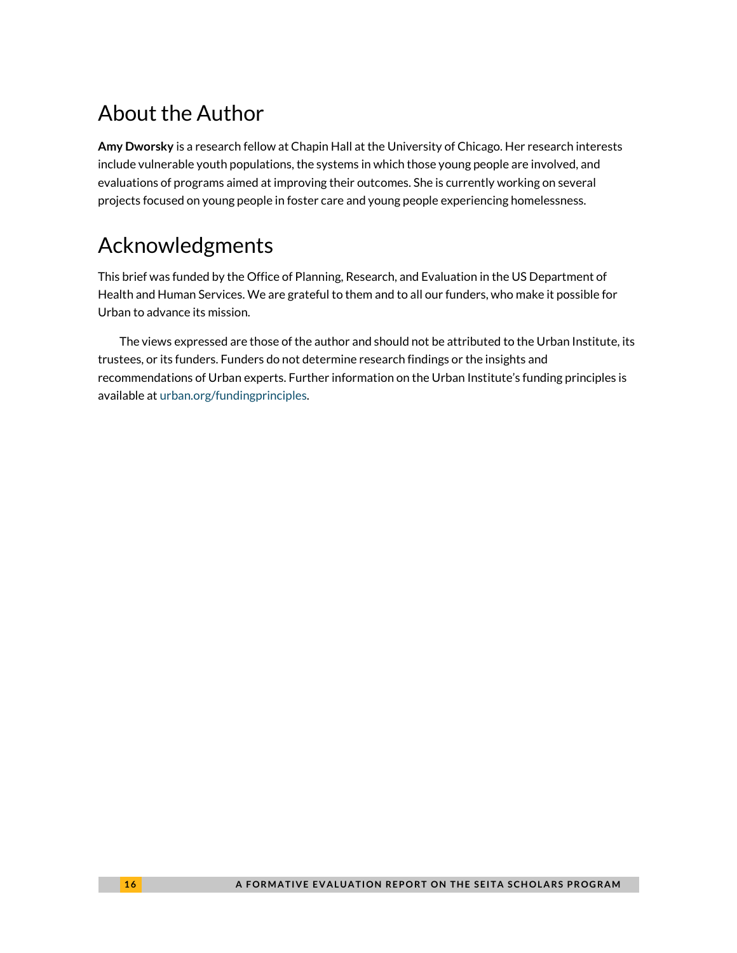## About the Author

**Amy Dworsky** is a research fellow at Chapin Hall at the University of Chicago. Her research interests include vulnerable youth populations, the systems in which those young people are involved, and evaluations of programs aimed at improving their outcomes. She is currently working on several projects focused on young people in foster care and young people experiencing homelessness.

## Acknowledgments

This brief was funded by the Office of Planning, Research, and Evaluation in the US Department of Health and Human Services. We are grateful to them and to all our funders, who make it possible for Urban to advance its mission.

The views expressed are those of the author and should not be attributed to the Urban Institute, its trustees, or its funders. Funders do not determine research findings or the insights and recommendations of Urban experts. Further information on the Urban Institute's funding principles is available at [urban.org/fundingprinciples.](about:blank)